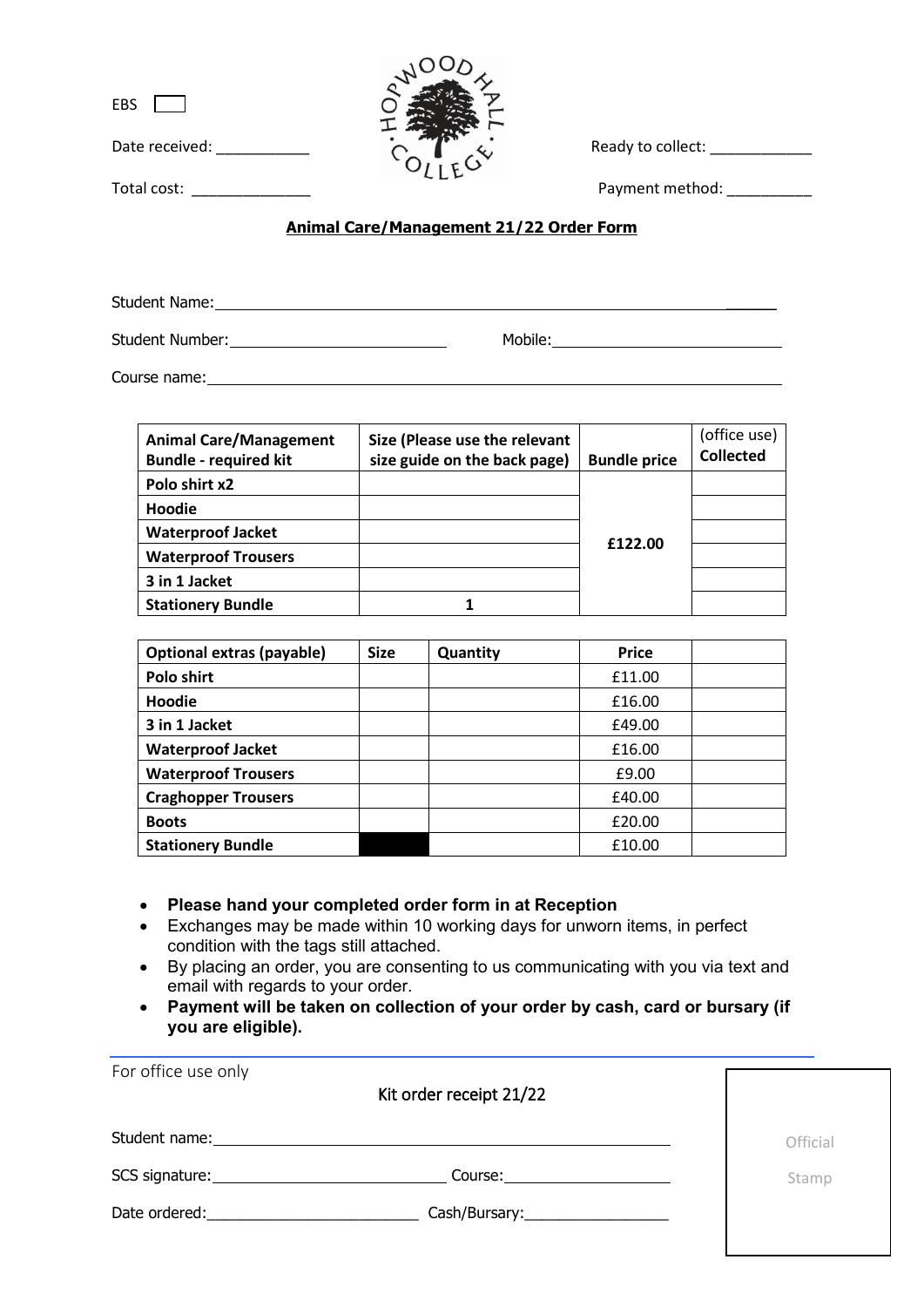$EBS$ 

Date received: \_\_\_\_\_\_\_\_\_\_\_ Ready to collect: \_\_\_\_\_\_\_\_\_\_\_\_

Total cost: \_\_\_\_\_\_\_\_\_\_\_\_\_\_ Payment method: \_\_\_\_\_\_\_\_\_\_

# **Animal Care/Management 21/22 Order Form**

Student Name: \_\_\_\_\_\_

Student Number: Nobile: Mobile: Mobile: Mobile: Mobile: Mobile: Mobile: Mobile: Nobile: Nobile: Nobile: Nobile: Nobile: Nobile: Nobile: Nobile: Nobile: Nobile: Nobile: Nobile: Nobile: Nobile: Nobile: Nobile: Nobile: Nobile

Course name:

| <b>Animal Care/Management</b><br><b>Bundle - required kit</b> | Size (Please use the relevant<br>size guide on the back page) | <b>Bundle price</b> | (office use)<br><b>Collected</b> |
|---------------------------------------------------------------|---------------------------------------------------------------|---------------------|----------------------------------|
| Polo shirt x2                                                 |                                                               |                     |                                  |
| Hoodie                                                        |                                                               |                     |                                  |
| <b>Waterproof Jacket</b>                                      |                                                               | £122.00             |                                  |
| <b>Waterproof Trousers</b>                                    |                                                               |                     |                                  |
| 3 in 1 Jacket                                                 |                                                               |                     |                                  |
| <b>Stationery Bundle</b>                                      |                                                               |                     |                                  |

| <b>Optional extras (payable)</b> | <b>Size</b> | Quantity | <b>Price</b> |  |
|----------------------------------|-------------|----------|--------------|--|
| Polo shirt                       |             |          | £11.00       |  |
| Hoodie                           |             |          | £16.00       |  |
| 3 in 1 Jacket                    |             |          | £49.00       |  |
| <b>Waterproof Jacket</b>         |             |          | £16.00       |  |
| <b>Waterproof Trousers</b>       |             |          | £9.00        |  |
| <b>Craghopper Trousers</b>       |             |          | £40.00       |  |
| <b>Boots</b>                     |             |          | £20.00       |  |
| <b>Stationery Bundle</b>         |             |          | £10.00       |  |

- **Please hand your completed order form in at Reception**
- Exchanges may be made within 10 working days for unworn items, in perfect condition with the tags still attached.
- By placing an order, you are consenting to us communicating with you via text and email with regards to your order.
- **Payment will be taken on collection of your order by cash, card or bursary (if you are eligible).**

| For office use only                                                                                                                                                                                                            | Kit order receipt 21/22                                                                                                                                                                                                       |          |
|--------------------------------------------------------------------------------------------------------------------------------------------------------------------------------------------------------------------------------|-------------------------------------------------------------------------------------------------------------------------------------------------------------------------------------------------------------------------------|----------|
|                                                                                                                                                                                                                                | Student name: The contract of the contract of the contract of the contract of the contract of the contract of the contract of the contract of the contract of the contract of the contract of the contract of the contract of | Official |
|                                                                                                                                                                                                                                | Course: 2000                                                                                                                                                                                                                  | Stamp    |
| Date ordered: and the state of the state of the state of the state of the state of the state of the state of the state of the state of the state of the state of the state of the state of the state of the state of the state | Cash/Bursary:____________________                                                                                                                                                                                             |          |